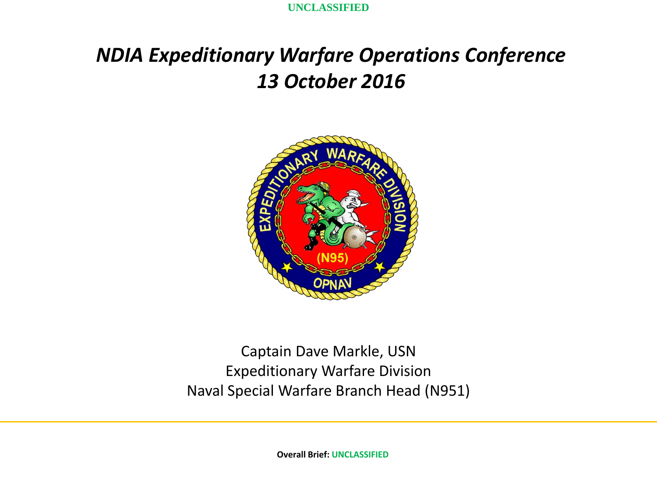**UNCLASSIFIED**

## *NDIA Expeditionary Warfare Operations Conference 13 October 2016*



Captain Dave Markle, USN Expeditionary Warfare Division Naval Special Warfare Branch Head (N951)

**Overall Brief: UNCLASSIFIED**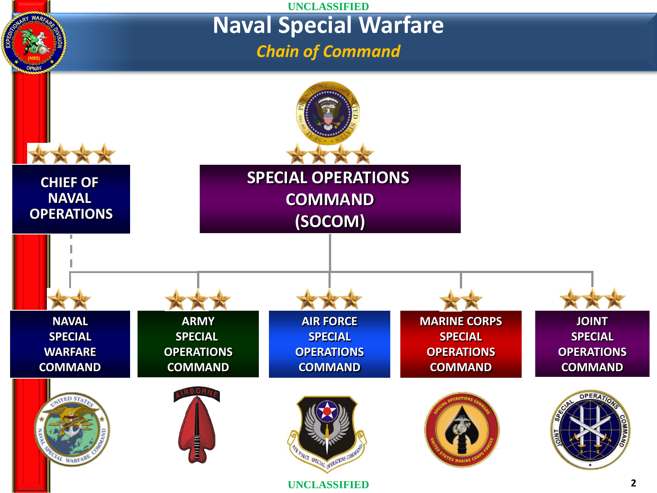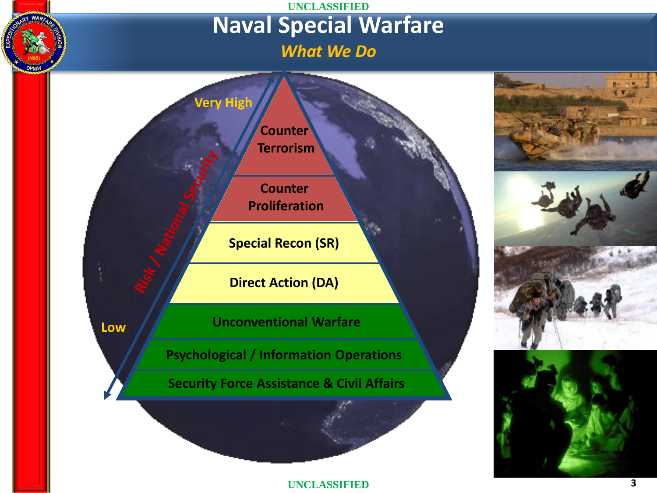## **UNCLASSIFIED Naval Special Warfare** *What We Do*











**3**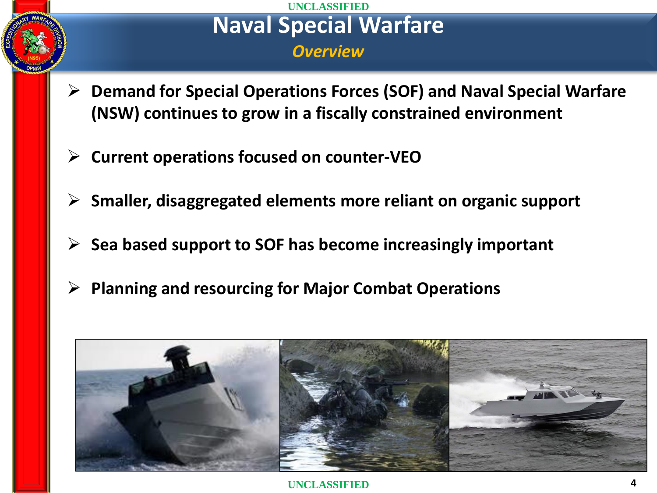## **UNCLASSIFIED Naval Special Warfare**  *Overview*

- **[Demand for Special Operations Forces \(SOF\) and Naval Special Warfare](http://www.google.com/url?sa=i&rct=j&q=&esrc=s&source=images&cd=&cad=rja&uact=8&ved=0ahUKEwj354T4xq3PAhWFNiYKHZqkBuAQjRwIBw&url=http://www.hisutton.com/USSOCOM  Naval Special Warfare update.html&psig=AFQjCNG-i6k1kBnT7_f9GkRdNcc2j_CHDw&ust=1474997071443340)  (NSW) continues to grow in a fiscally constrained environment**
- **Current operations focused on counter-VEO**
- **Smaller, disaggregated elements more reliant on organic support**
- **Sea based support to SOF has become increasingly important**
- **Planning and resourcing for Major Combat Operations**

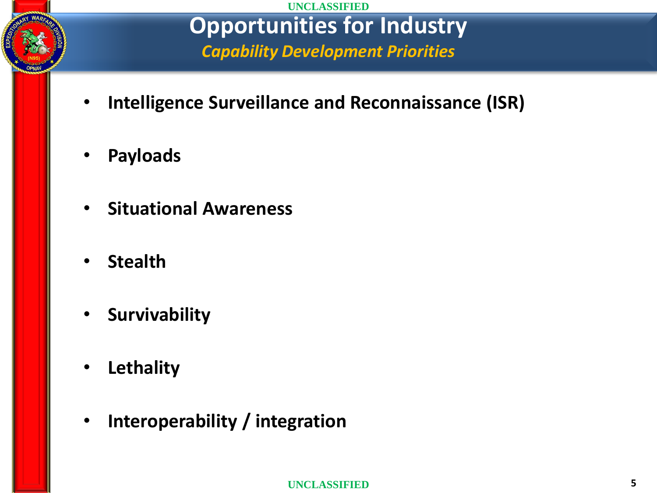

**UNCLASSIFIED Opportunities for Industry** *Capability Development Priorities*

- **Intelligence Surveillance and Reconnaissance (ISR)**
- **Payloads**
- **Situational Awareness**
- **Stealth**
- **Survivability**
- **Lethality**
- **Interoperability / integration**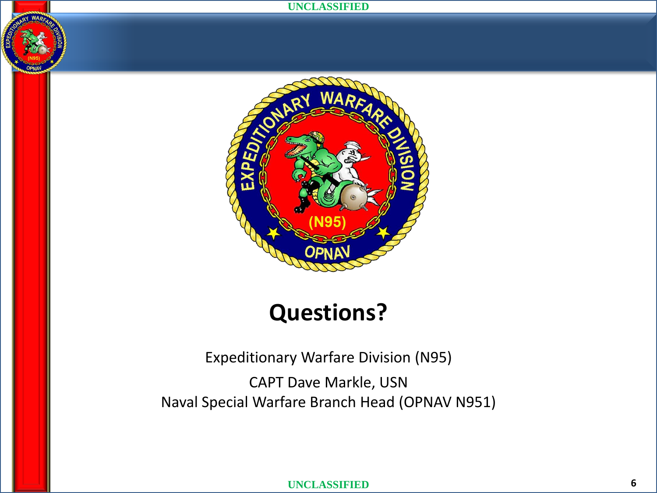#### **UNCLASSIFIED**



# **Questions?**

Expeditionary Warfare Division (N95)

CAPT Dave Markle, USN Naval Special Warfare Branch Head (OPNAV N951)

**UNCLASSIFIED**